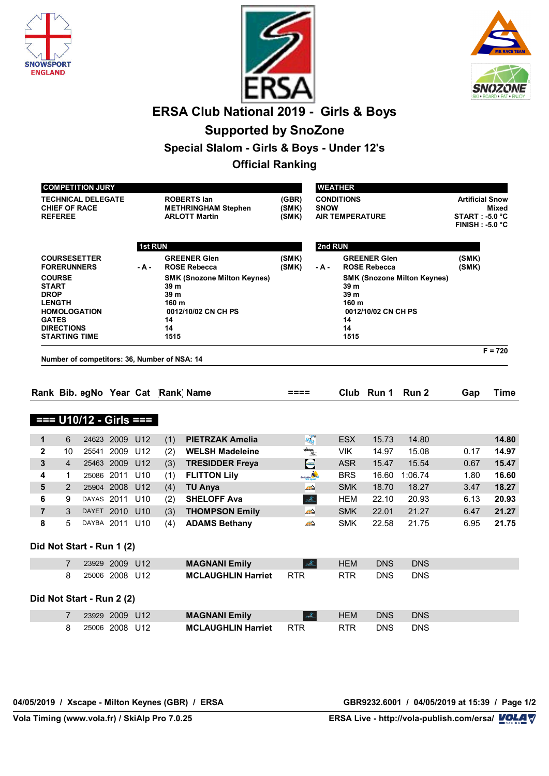





# **ERSA Club National 2019 - Girls & Boys**

# **Supported by SnoZone**

**Special Slalom - Girls & Boys - Under 12's**

## **Official Ranking**

|                |                                           | <b>COMPETITION JURY</b>   |                |                |                                              |                                                                          |                            | <b>WEATHER</b> |                                             |                     |                                    |                                                                 |             |
|----------------|-------------------------------------------|---------------------------|----------------|----------------|----------------------------------------------|--------------------------------------------------------------------------|----------------------------|----------------|---------------------------------------------|---------------------|------------------------------------|-----------------------------------------------------------------|-------------|
|                | <b>CHIEF OF RACE</b><br><b>REFEREE</b>    | <b>TECHNICAL DELEGATE</b> |                |                |                                              | <b>ROBERTS lan</b><br><b>METHRINGHAM Stephen</b><br><b>ARLOTT Martin</b> | (GBR)<br>(SMK)<br>(SMK)    | <b>SNOW</b>    | <b>CONDITIONS</b><br><b>AIR TEMPERATURE</b> |                     |                                    | <b>Artificial Snow</b><br>START : -5.0 °C<br>$FINISH : -5.0 °C$ | Mixed       |
|                |                                           |                           |                | <b>1st RUN</b> |                                              |                                                                          |                            | 2nd RUN        |                                             |                     |                                    |                                                                 |             |
|                | <b>COURSESETTER</b>                       |                           |                |                |                                              | <b>GREENER Glen</b>                                                      | (SMK)                      |                |                                             | <b>GREENER Glen</b> |                                    | (SMK)                                                           |             |
|                | <b>FORERUNNERS</b>                        |                           |                | - A -          |                                              | <b>ROSE Rebecca</b>                                                      | (SMK)                      | - A -          |                                             | <b>ROSE Rebecca</b> |                                    | (SMK)                                                           |             |
|                | <b>COURSE</b><br><b>START</b>             |                           |                |                | 39 m                                         | <b>SMK (Snozone Milton Keynes)</b>                                       |                            |                | 39 m                                        |                     | <b>SMK (Snozone Milton Keynes)</b> |                                                                 |             |
| <b>DROP</b>    |                                           |                           |                |                | 39 m<br>160 m                                |                                                                          |                            |                | 39 <sub>m</sub><br>160 m                    |                     |                                    |                                                                 |             |
|                | <b>LENGTH</b><br><b>HOMOLOGATION</b>      |                           |                |                |                                              | 0012/10/02 CN CH PS                                                      |                            |                |                                             | 0012/10/02 CN CH PS |                                    |                                                                 |             |
|                | <b>GATES</b>                              |                           |                |                | 14<br>14                                     |                                                                          |                            |                | 14<br>14                                    |                     |                                    |                                                                 |             |
|                | <b>DIRECTIONS</b><br><b>STARTING TIME</b> |                           |                |                | 1515                                         |                                                                          |                            |                | 1515                                        |                     |                                    |                                                                 |             |
|                |                                           |                           |                |                |                                              |                                                                          |                            |                |                                             |                     |                                    |                                                                 | $F = 720$   |
|                |                                           |                           |                |                | Number of competitors: 36, Number of NSA: 14 |                                                                          |                            |                |                                             |                     |                                    |                                                                 |             |
|                |                                           |                           |                |                |                                              |                                                                          |                            |                |                                             |                     |                                    |                                                                 |             |
|                |                                           |                           |                |                | Rank Bib. agNo Year Cat Rank Name            |                                                                          | $====$                     |                |                                             | Club Run 1          | Run 2                              | Gap                                                             | <b>Time</b> |
|                |                                           |                           |                |                |                                              |                                                                          |                            |                |                                             |                     |                                    |                                                                 |             |
|                |                                           | === U10/12 - Girls ===    |                |                |                                              |                                                                          |                            |                |                                             |                     |                                    |                                                                 |             |
| 1              | 6                                         |                           | 24623 2009 U12 |                | (1)                                          | <b>PIETRZAK Amelia</b>                                                   | <b>REG</b>                 |                | <b>ESX</b>                                  | 15.73               | 14.80                              |                                                                 | 14.80       |
| $\mathbf{2}$   | 10                                        |                           | 25541 2009 U12 |                | (2)                                          | <b>WELSH Madeleine</b>                                                   | $\sqrt{ikings}$            |                | <b>VIK</b>                                  | 14.97               | 15.08                              | 0.17                                                            | 14.97       |
| 3              | $\overline{4}$                            |                           | 25463 2009 U12 |                | (3)                                          | <b>TRESIDDER Freya</b>                                                   | $\bullet$                  |                | <b>ASR</b>                                  | 15.47               | 15.54                              | 0.67                                                            | 15.47       |
| 4              | 1                                         |                           | 25086 2011 U10 |                | (1)                                          | <b>FLITTON Lily</b>                                                      | Berkshire                  |                | <b>BRS</b>                                  | 16.60               | 1:06.74                            | 1.80                                                            | 16.60       |
| 5              | $\overline{2}$                            |                           | 25904 2008 U12 |                | (4)                                          | <b>TU Anya</b>                                                           | $\mathbb{Z}^{\triangle}$   |                | <b>SMK</b>                                  | 18.70               | 18.27                              | 3.47                                                            | 18.27       |
| 6              | 9                                         | DAYAS 2011 U10            |                |                | (2)                                          | <b>SHELOFF Ava</b>                                                       |                            | alta.          | <b>HEM</b>                                  | 22.10               | 20.93                              | 6.13                                                            | 20.93       |
| $\overline{7}$ | 3                                         | DAYET 2010 U10            |                |                | (3)                                          | <b>THOMPSON Emily</b>                                                    | A                          |                | <b>SMK</b>                                  | 22.01               | 21.27                              | 6.47                                                            | 21.27       |
| 8              | 5                                         | DAYBA 2011 U10            |                |                | (4)                                          | <b>ADAMS Bethany</b>                                                     |                            | <b>MA</b>      | <b>SMK</b>                                  | 22.58               | 21.75                              | 6.95                                                            | 21.75       |
|                |                                           |                           |                |                |                                              |                                                                          |                            |                |                                             |                     |                                    |                                                                 |             |
|                |                                           |                           |                |                |                                              |                                                                          |                            |                |                                             |                     |                                    |                                                                 |             |
|                |                                           | Did Not Start - Run 1 (2) |                |                |                                              |                                                                          |                            |                |                                             |                     |                                    |                                                                 |             |
|                | $\overline{7}$                            |                           | 23929 2009 U12 |                |                                              | <b>MAGNANI Emily</b>                                                     | $\mathscr{F}_{\mathbb{Z}}$ |                | <b>HEM</b>                                  | <b>DNS</b>          | <b>DNS</b>                         |                                                                 |             |
|                | 8                                         |                           | 25006 2008 U12 |                |                                              | <b>MCLAUGHLIN Harriet</b>                                                | <b>RTR</b>                 |                | <b>RTR</b>                                  | <b>DNS</b>          | <b>DNS</b>                         |                                                                 |             |
|                |                                           | Did Not Start - Run 2 (2) |                |                |                                              |                                                                          |                            |                |                                             |                     |                                    |                                                                 |             |
|                | $\overline{7}$                            |                           | 23929 2009 U12 |                |                                              | <b>MAGNANI Emily</b>                                                     | silla.                     |                | <b>HEM</b>                                  | <b>DNS</b>          | <b>DNS</b>                         |                                                                 |             |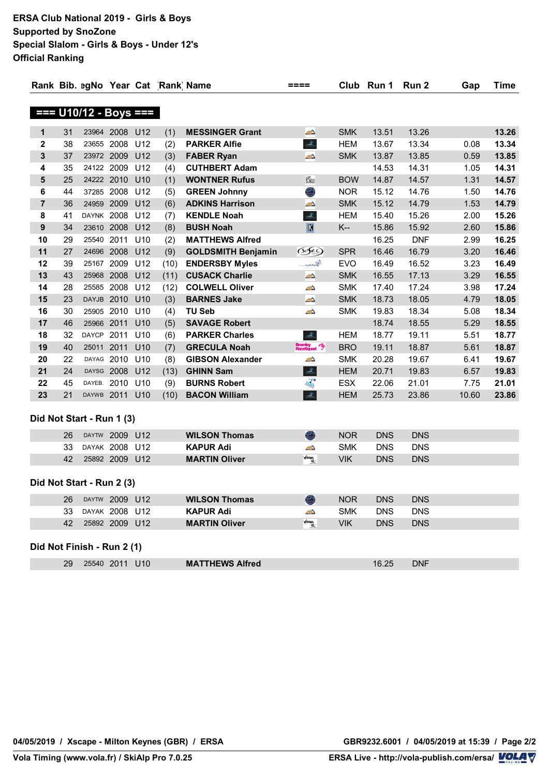#### **ERSA Club National 2019 - Girls & Boys Supported by SnoZone Special Slalom - Girls & Boys - Under 12's Official Ranking**

|                         |    |                            |                 |     |      | Rank Bib. agNo Year Cat Rank Name | ====                                                                                                                                                                                                                                                                                                                                                                                                                                                                                                                                                                                                                                                                                                                                                             |            | Club Run 1 | Run <sub>2</sub> | Gap   | <b>Time</b> |
|-------------------------|----|----------------------------|-----------------|-----|------|-----------------------------------|------------------------------------------------------------------------------------------------------------------------------------------------------------------------------------------------------------------------------------------------------------------------------------------------------------------------------------------------------------------------------------------------------------------------------------------------------------------------------------------------------------------------------------------------------------------------------------------------------------------------------------------------------------------------------------------------------------------------------------------------------------------|------------|------------|------------------|-------|-------------|
|                         |    |                            |                 |     |      |                                   |                                                                                                                                                                                                                                                                                                                                                                                                                                                                                                                                                                                                                                                                                                                                                                  |            |            |                  |       |             |
|                         |    | $==$ U10/12 - Boys $==$    |                 |     |      |                                   |                                                                                                                                                                                                                                                                                                                                                                                                                                                                                                                                                                                                                                                                                                                                                                  |            |            |                  |       |             |
| 1                       | 31 |                            | 23964 2008 U12  |     | (1)  | <b>MESSINGER Grant</b>            | $\mathbb{Z}^\wedge$                                                                                                                                                                                                                                                                                                                                                                                                                                                                                                                                                                                                                                                                                                                                              | <b>SMK</b> | 13.51      | 13.26            |       | 13.26       |
| 2                       | 38 |                            | 23655 2008      | U12 | (2)  | <b>PARKER Alfie</b>               | $\mathcal{A}_{\mathbb{Z}}$                                                                                                                                                                                                                                                                                                                                                                                                                                                                                                                                                                                                                                                                                                                                       | <b>HEM</b> | 13.67      | 13.34            | 0.08  | 13.34       |
| 3                       | 37 |                            | 23972 2009      | U12 | (3)  | <b>FABER Ryan</b>                 | øΔ                                                                                                                                                                                                                                                                                                                                                                                                                                                                                                                                                                                                                                                                                                                                                               | <b>SMK</b> | 13.87      | 13.85            | 0.59  | 13.85       |
| 4                       | 35 |                            | 24122 2009      | U12 | (4)  | <b>CUTHBERT Adam</b>              |                                                                                                                                                                                                                                                                                                                                                                                                                                                                                                                                                                                                                                                                                                                                                                  |            | 14.53      | 14.31            | 1.05  | 14.31       |
| 5                       | 25 |                            | 24222 2010 U10  |     | (1)  | <b>WONTNER Rufus</b>              | <b>BOWLES</b>                                                                                                                                                                                                                                                                                                                                                                                                                                                                                                                                                                                                                                                                                                                                                    | <b>BOW</b> | 14.87      | 14.57            | 1.31  | 14.57       |
| 6                       | 44 |                            | 37285 2008      | U12 | (5)  | <b>GREEN Johnny</b>               | O                                                                                                                                                                                                                                                                                                                                                                                                                                                                                                                                                                                                                                                                                                                                                                | <b>NOR</b> | 15.12      | 14.76            | 1.50  | 14.76       |
| $\overline{\mathbf{r}}$ | 36 |                            | 24959 2009 U12  |     | (6)  | <b>ADKINS Harrison</b>            | $\mathbb{Z}^{\wedge}$                                                                                                                                                                                                                                                                                                                                                                                                                                                                                                                                                                                                                                                                                                                                            | <b>SMK</b> | 15.12      | 14.79            | 1.53  | 14.79       |
| 8                       | 41 | DAYNK 2008                 |                 | U12 | (7)  | <b>KENDLE Noah</b>                | $\mathcal{A}_{\text{in}}$                                                                                                                                                                                                                                                                                                                                                                                                                                                                                                                                                                                                                                                                                                                                        | <b>HEM</b> | 15.40      | 15.26            | 2.00  | 15.26       |
| $\boldsymbol{9}$        | 34 |                            | 23610 2008      | U12 | (8)  | <b>BUSH Noah</b>                  | $\boxed{5}$                                                                                                                                                                                                                                                                                                                                                                                                                                                                                                                                                                                                                                                                                                                                                      | K--        | 15.86      | 15.92            | 2.60  | 15.86       |
| 10                      | 29 |                            | 25540 2011      | U10 | (2)  | <b>MATTHEWS Alfred</b>            |                                                                                                                                                                                                                                                                                                                                                                                                                                                                                                                                                                                                                                                                                                                                                                  |            | 16.25      | <b>DNF</b>       | 2.99  | 16.25       |
| 11                      | 27 |                            | 24696 2008      | U12 | (9)  | <b>GOLDSMITH Benjamin</b>         | <b>GORO</b>                                                                                                                                                                                                                                                                                                                                                                                                                                                                                                                                                                                                                                                                                                                                                      | <b>SPR</b> | 16.46      | 16.79            | 3.20  | 16.46       |
| 12                      | 39 |                            | 25167 2009 U12  |     | (10) | <b>ENDERSBY Myles</b>             | <b>Conduction</b>                                                                                                                                                                                                                                                                                                                                                                                                                                                                                                                                                                                                                                                                                                                                                | <b>EVO</b> | 16.49      | 16.52            | 3.23  | 16.49       |
| 13                      | 43 |                            | 25968 2008 U12  |     | (11) | <b>CUSACK Charlie</b>             | $\mathbb{Z}^\wedge$                                                                                                                                                                                                                                                                                                                                                                                                                                                                                                                                                                                                                                                                                                                                              | <b>SMK</b> | 16.55      | 17.13            | 3.29  | 16.55       |
| 14                      | 28 |                            | 25585 2008      | U12 | (12) | <b>COLWELL Oliver</b>             | m                                                                                                                                                                                                                                                                                                                                                                                                                                                                                                                                                                                                                                                                                                                                                                | <b>SMK</b> | 17.40      | 17.24            | 3.98  | 17.24       |
| 15                      | 23 |                            | DAYJB 2010      | U10 | (3)  | <b>BARNES Jake</b>                | $\mathbb{Z}^{\triangle}$                                                                                                                                                                                                                                                                                                                                                                                                                                                                                                                                                                                                                                                                                                                                         | <b>SMK</b> | 18.73      | 18.05            | 4.79  | 18.05       |
| 16                      | 30 |                            | 25905 2010 U10  |     | (4)  | <b>TU Seb</b>                     | ØA                                                                                                                                                                                                                                                                                                                                                                                                                                                                                                                                                                                                                                                                                                                                                               | <b>SMK</b> | 19.83      | 18.34            | 5.08  | 18.34       |
| 17                      | 46 | 25966 2011                 |                 | U10 | (5)  | <b>SAVAGE Robert</b>              |                                                                                                                                                                                                                                                                                                                                                                                                                                                                                                                                                                                                                                                                                                                                                                  |            | 18.74      | 18.55            | 5.29  | 18.55       |
| 18                      | 32 | DAYCP 2011                 |                 | U10 | (6)  | <b>PARKER Charles</b>             | $\label{eq:reduced} \mathcal{A}_{\text{in}}$                                                                                                                                                                                                                                                                                                                                                                                                                                                                                                                                                                                                                                                                                                                     | <b>HEM</b> | 18.77      | 19.11            | 5.51  | 18.77       |
| 19                      | 40 |                            | 25011 2011 U10  |     | (7)  | <b>GRECULA Noah</b>               | <b>Bromley</b><br>RaceSquad                                                                                                                                                                                                                                                                                                                                                                                                                                                                                                                                                                                                                                                                                                                                      | <b>BRO</b> | 19.11      | 18.87            | 5.61  | 18.87       |
| 20                      | 22 |                            | DAYAG 2010      | U10 | (8)  | <b>GIBSON Alexander</b>           | ØA                                                                                                                                                                                                                                                                                                                                                                                                                                                                                                                                                                                                                                                                                                                                                               | <b>SMK</b> | 20.28      | 19.67            | 6.41  | 19.67       |
| 21                      | 24 |                            | DAYSG 2008      | U12 | (13) | <b>GHINN Sam</b>                  | the c                                                                                                                                                                                                                                                                                                                                                                                                                                                                                                                                                                                                                                                                                                                                                            | <b>HEM</b> | 20.71      | 19.83            | 6.57  | 19.83       |
| 22                      | 45 |                            | DAYEB. 2010 U10 |     | (9)  | <b>BURNS Robert</b>               | FEED                                                                                                                                                                                                                                                                                                                                                                                                                                                                                                                                                                                                                                                                                                                                                             | <b>ESX</b> | 22.06      | 21.01            | 7.75  | 21.01       |
| 23                      | 21 |                            | DAYWB 2011 U10  |     | (10) | <b>BACON William</b>              | $\frac{\partial}{\partial \overline{\partial} \overline{\partial} \overline{\partial} \overline{\partial} \overline{\partial} \overline{\partial} \overline{\partial} \overline{\partial} \overline{\partial} \overline{\partial} \overline{\partial} \overline{\partial} \overline{\partial} \overline{\partial} \overline{\partial} \overline{\partial} \overline{\partial} \overline{\partial} \overline{\partial} \overline{\partial} \overline{\partial} \overline{\partial} \overline{\partial} \overline{\partial} \overline{\partial} \overline{\partial} \overline{\partial} \overline{\partial} \overline{\partial} \overline{\partial} \overline{\partial} \overline{\partial} \overline{\partial} \overline{\partial} \overline{\partial} \overline$ | <b>HEM</b> | 25.73      | 23.86            | 10.60 | 23.86       |
|                         |    |                            |                 |     |      |                                   |                                                                                                                                                                                                                                                                                                                                                                                                                                                                                                                                                                                                                                                                                                                                                                  |            |            |                  |       |             |
|                         |    | Did Not Start - Run 1 (3)  |                 |     |      |                                   |                                                                                                                                                                                                                                                                                                                                                                                                                                                                                                                                                                                                                                                                                                                                                                  |            |            |                  |       |             |
|                         | 26 |                            | DAYTW 2009 U12  |     |      | <b>WILSON Thomas</b>              | $\bullet$                                                                                                                                                                                                                                                                                                                                                                                                                                                                                                                                                                                                                                                                                                                                                        | <b>NOR</b> | <b>DNS</b> | <b>DNS</b>       |       |             |
|                         | 33 |                            | DAYAK 2008 U12  |     |      | <b>KAPUR Adi</b>                  | ØÂ                                                                                                                                                                                                                                                                                                                                                                                                                                                                                                                                                                                                                                                                                                                                                               | <b>SMK</b> | <b>DNS</b> | <b>DNS</b>       |       |             |
|                         | 42 |                            | 25892 2009 U12  |     |      | <b>MARTIN Oliver</b>              | Vikings.                                                                                                                                                                                                                                                                                                                                                                                                                                                                                                                                                                                                                                                                                                                                                         | <b>VIK</b> | <b>DNS</b> | <b>DNS</b>       |       |             |
|                         |    | Did Not Start - Run 2 (3)  |                 |     |      |                                   |                                                                                                                                                                                                                                                                                                                                                                                                                                                                                                                                                                                                                                                                                                                                                                  |            |            |                  |       |             |
|                         |    |                            |                 |     |      |                                   |                                                                                                                                                                                                                                                                                                                                                                                                                                                                                                                                                                                                                                                                                                                                                                  |            |            |                  |       |             |
|                         | 26 |                            | DAYTW 2009 U12  |     |      | <b>WILSON Thomas</b>              | O                                                                                                                                                                                                                                                                                                                                                                                                                                                                                                                                                                                                                                                                                                                                                                | <b>NOR</b> | <b>DNS</b> | <b>DNS</b>       |       |             |
|                         | 33 | DAYAK 2008 U12             |                 |     |      | <b>KAPUR Adi</b>                  | ØA                                                                                                                                                                                                                                                                                                                                                                                                                                                                                                                                                                                                                                                                                                                                                               | <b>SMK</b> | <b>DNS</b> | <b>DNS</b>       |       |             |
|                         | 42 |                            | 25892 2009 U12  |     |      | <b>MARTIN Oliver</b>              | <b>Vikings.</b><br>Albert                                                                                                                                                                                                                                                                                                                                                                                                                                                                                                                                                                                                                                                                                                                                        | <b>VIK</b> | <b>DNS</b> | <b>DNS</b>       |       |             |
|                         |    | Did Not Finish - Run 2 (1) |                 |     |      |                                   |                                                                                                                                                                                                                                                                                                                                                                                                                                                                                                                                                                                                                                                                                                                                                                  |            |            |                  |       |             |
|                         | 29 |                            | 25540 2011 U10  |     |      | <b>MATTHEWS Alfred</b>            |                                                                                                                                                                                                                                                                                                                                                                                                                                                                                                                                                                                                                                                                                                                                                                  |            | 16.25      | <b>DNF</b>       |       |             |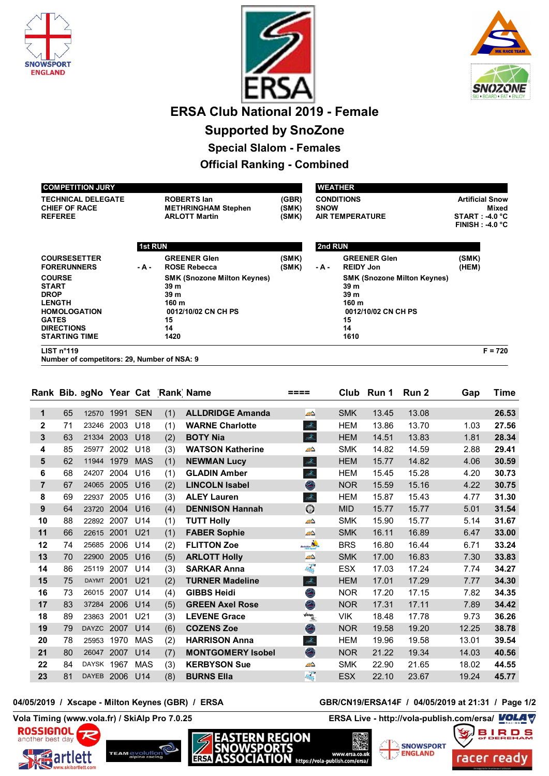





# **ERSA Club National 2019 - Female**

# **Supported by SnoZone**

**Special Slalom - Females**

## **Official Ranking - Combined**

| <b>COMPETITION JURY</b>                                                                                                                           |                |                                                                                                        |                         | <b>WEATHER</b> |                                                                                                        |                                                                            |
|---------------------------------------------------------------------------------------------------------------------------------------------------|----------------|--------------------------------------------------------------------------------------------------------|-------------------------|----------------|--------------------------------------------------------------------------------------------------------|----------------------------------------------------------------------------|
| <b>TECHNICAL DELEGATE</b><br><b>CHIEF OF RACE</b><br><b>REFEREE</b>                                                                               |                | <b>ROBERTS lan</b><br><b>METHRINGHAM Stephen</b><br><b>ARLOTT Martin</b>                               | (GBR)<br>(SMK)<br>(SMK) | <b>SNOW</b>    | <b>CONDITIONS</b><br><b>AIR TEMPERATURE</b>                                                            | <b>Artificial Snow</b><br>Mixed<br>$START : -4.0 °C$<br>$FINISH : -4.0 °C$ |
|                                                                                                                                                   | <b>1st RUN</b> |                                                                                                        |                         | 2nd RUN        |                                                                                                        |                                                                            |
| <b>COURSESETTER</b><br><b>FORERUNNERS</b>                                                                                                         | - A -          | <b>GREENER Glen</b><br><b>ROSE Rebecca</b>                                                             | (SMK)<br>(SMK)          | - A -          | <b>GREENER Glen</b><br><b>REIDY Jon</b>                                                                | (SMK)<br>(HEM)                                                             |
| <b>COURSE</b><br><b>START</b><br><b>DROP</b><br><b>LENGTH</b><br><b>HOMOLOGATION</b><br><b>GATES</b><br><b>DIRECTIONS</b><br><b>STARTING TIME</b> |                | <b>SMK (Snozone Milton Keynes)</b><br>39 m<br>39 m<br>160 m<br>0012/10/02 CN CH PS<br>15<br>14<br>1420 |                         |                | <b>SMK (Snozone Milton Keynes)</b><br>39 m<br>39 m<br>160 m<br>0012/10/02 CN CH PS<br>15<br>14<br>1610 |                                                                            |
| LIST $n^{\circ}$ 119<br>Number of competitors: 29, Number of NSA: 9                                                                               |                |                                                                                                        |                         |                |                                                                                                        | $F = 720$                                                                  |

|                |    |              |      |                 | Rank Bib. agNo Year Cat Rank Name |                          | ====                    | Club       | <b>Run 1</b> | Run <sub>2</sub> | Gap   | Time  |
|----------------|----|--------------|------|-----------------|-----------------------------------|--------------------------|-------------------------|------------|--------------|------------------|-------|-------|
| 1              | 65 | 12570        | 1991 | <b>SEN</b>      | (1)                               | <b>ALLDRIDGE Amanda</b>  | $\mathbb{Z}$            | <b>SMK</b> | 13.45        | 13.08            |       | 26.53 |
| $\mathbf{2}$   | 71 | 23246        | 2003 | U18             | (1)                               | <b>WARNE Charlotte</b>   | Ana                     | <b>HEM</b> | 13.86        | 13.70            | 1.03  | 27.56 |
| 3              | 63 | 21334        | 2003 | U18             | (2)                               | <b>BOTY Nia</b>          | $\Delta$                | <b>HEM</b> | 14.51        | 13.83            | 1.81  | 28.34 |
| 4              | 85 | 25977        | 2002 | U18             | (3)                               | <b>WATSON Katherine</b>  | $\mathbb{Z}$            | <b>SMK</b> | 14.82        | 14.59            | 2.88  | 29.41 |
| 5              | 62 | 11944        | 1979 | <b>MAS</b>      | (1)                               | <b>NEWMAN Lucy</b>       | sta.                    | <b>HEM</b> | 15.77        | 14.82            | 4.06  | 30.59 |
| 6              | 68 | 24207        | 2004 | U16             | (1)                               | <b>GLADIN Amber</b>      | ille.                   | <b>HEM</b> | 15.45        | 15.28            | 4.20  | 30.73 |
| $\overline{7}$ | 67 | 24065        | 2005 | U <sub>16</sub> | (2)                               | <b>LINCOLN Isabel</b>    | O                       | <b>NOR</b> | 15.59        | 15.16            | 4.22  | 30.75 |
| 8              | 69 | 22937        | 2005 | U16             | (3)                               | <b>ALEY Lauren</b>       | ilda.                   | <b>HEM</b> | 15.87        | 15.43            | 4.77  | 31.30 |
| 9              | 64 | 23720        | 2004 | U <sub>16</sub> | (4)                               | <b>DENNISON Hannah</b>   | $\odot$                 | <b>MID</b> | 15.77        | 15.77            | 5.01  | 31.54 |
| 10             | 88 | 22892        | 2007 | U14             | (1)                               | <b>TUTT Holly</b>        | ØA                      | <b>SMK</b> | 15.90        | 15.77            | 5.14  | 31.67 |
| 11             | 66 | 22615        | 2001 | U21             | (1)                               | <b>FABER Sophie</b>      | Ø∆                      | <b>SMK</b> | 16.11        | 16.89            | 6.47  | 33.00 |
| 12             | 74 | 25685        | 2006 | U14             | (2)                               | <b>FLITTON Zoe</b>       | Berkshire<br>Tace squad | <b>BRS</b> | 16.80        | 16.44            | 6.71  | 33.24 |
| 13             | 70 | 22900        | 2005 | U <sub>16</sub> | (5)                               | <b>ARLOTT Holly</b>      | $\mathcal{A}^{\wedge}$  | <b>SMK</b> | 17.00        | 16.83            | 7.30  | 33.83 |
| 14             | 86 | 25119        | 2007 | U14             | (3)                               | <b>SARKAR Anna</b>       | <b>Read</b>             | <b>ESX</b> | 17.03        | 17.24            | 7.74  | 34.27 |
| 15             | 75 | <b>DAYMT</b> | 2001 | U21             | (2)                               | <b>TURNER Madeline</b>   | sta.                    | <b>HEM</b> | 17.01        | 17.29            | 7.77  | 34.30 |
| 16             | 73 | 26015        | 2007 | U14             | (4)                               | <b>GIBBS Heidi</b>       | O                       | <b>NOR</b> | 17.20        | 17.15            | 7.82  | 34.35 |
| 17             | 83 | 37284        | 2006 | U14             | (5)                               | <b>GREEN Axel Rose</b>   | O                       | <b>NOR</b> | 17.31        | 17.11            | 7.89  | 34.42 |
| 18             | 89 | 23863        | 2001 | U21             | (3)                               | <b>LEVENE Grace</b>      | $\sqrt{ikings}$         | <b>VIK</b> | 18.48        | 17.78            | 9.73  | 36.26 |
| 19             | 79 | <b>DAYZC</b> | 2007 | U14             | (6)                               | <b>COZENS Zoe</b>        | $\bigcirc$              | <b>NOR</b> | 19.58        | 19.20            | 12.25 | 38.78 |
| 20             | 78 | 25953        | 1970 | <b>MAS</b>      | (2)                               | <b>HARRISON Anna</b>     | sta.                    | <b>HEM</b> | 19.96        | 19.58            | 13.01 | 39.54 |
| 21             | 80 | 26047        | 2007 | U14             | (7)                               | <b>MONTGOMERY Isobel</b> | $\bigcirc$              | <b>NOR</b> | 21.22        | 19.34            | 14.03 | 40.56 |
| 22             | 84 | <b>DAYSK</b> | 1967 | <b>MAS</b>      | (3)                               | <b>KERBYSON Sue</b>      | <b>MA</b>               | <b>SMK</b> | 22.90        | 21.65            | 18.02 | 44.55 |
| 23             | 81 | DAYEB 2006   |      | U14             | (8)                               | <b>BURNS Ella</b>        | <b>FREE</b>             | <b>ESX</b> | 22.10        | 23.67            | 19.24 | 45.77 |

**GION** 

www.ersa.co.uk<br>https://vola-publish.com/ersa/

**04/05/2019 / Xscape - Milton Keynes (GBR) / ERSA GBR/CN19/ERSA14F / 04/05/2019 at 21:31 / Page 1/2**







**Vola Timing (www.vola.fr) / SkiAlp Pro 7.0.25 ERSA Live - http://vola-publish.com/ersa/**



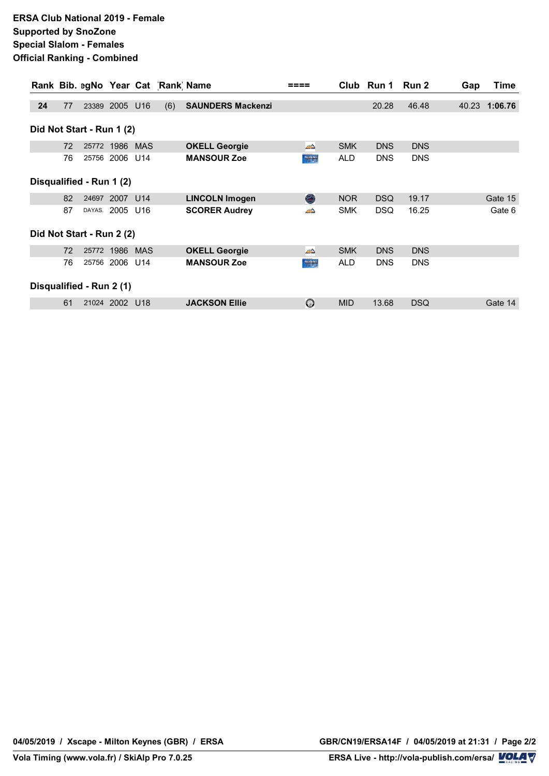|    |    |                           |                 |     | Rank Bib. agNo Year Cat Rank Name |               |            | Club Run 1 | Run 2      | Gap | Time          |
|----|----|---------------------------|-----------------|-----|-----------------------------------|---------------|------------|------------|------------|-----|---------------|
| 24 | 77 |                           | 23389 2005 U16  | (6) | <b>SAUNDERS Mackenzi</b>          |               |            | 20.28      | 46.48      |     | 40.23 1:06.76 |
|    |    | Did Not Start - Run 1 (2) |                 |     |                                   |               |            |            |            |     |               |
|    | 72 |                           | 25772 1986 MAS  |     | <b>OKELL Georgie</b>              | <b>MA</b>     | <b>SMK</b> | <b>DNS</b> | <b>DNS</b> |     |               |
|    | 76 |                           | 25756 2006 U14  |     | <b>MANSOUR Zoe</b>                | <b>NUM</b>    | ALD        | <b>DNS</b> | <b>DNS</b> |     |               |
|    |    | Disqualified - Run 1 (2)  |                 |     |                                   |               |            |            |            |     |               |
|    | 82 |                           | 24697 2007 U14  |     | <b>LINCOLN Imogen</b>             | O             | <b>NOR</b> | <b>DSQ</b> | 19.17      |     | Gate 15       |
|    | 87 |                           | DAYAS. 2005 U16 |     | <b>SCORER Audrey</b>              | <b>MA</b>     | <b>SMK</b> | <b>DSQ</b> | 16.25      |     | Gate 6        |
|    |    | Did Not Start - Run 2 (2) |                 |     |                                   |               |            |            |            |     |               |
|    | 72 |                           | 25772 1986 MAS  |     | <b>OKELL Georgie</b>              | $\mathcal{A}$ | <b>SMK</b> | <b>DNS</b> | <b>DNS</b> |     |               |
|    | 76 |                           | 25756 2006 U14  |     | <b>MANSOUR Zoe</b>                | 新玩            | ALD        | <b>DNS</b> | <b>DNS</b> |     |               |
|    |    | Disqualified - Run 2 (1)  |                 |     |                                   |               |            |            |            |     |               |
|    | 61 |                           | 21024 2002 U18  |     | <b>JACKSON Ellie</b>              | $\odot$       | <b>MID</b> | 13.68      | <b>DSQ</b> |     | Gate 14       |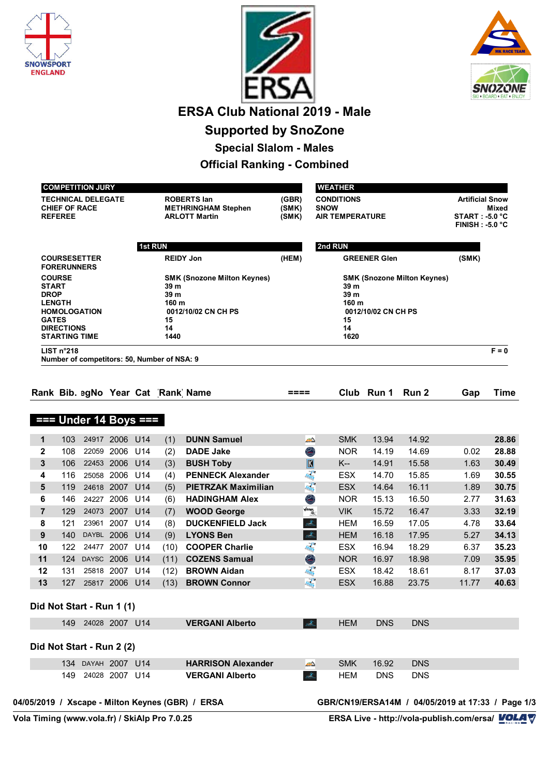





## **ERSA Club National 2019 - Male**

# **Supported by SnoZone**

**Special Slalom - Males**

## **Official Ranking - Combined**

|                                                                               | <b>CHIEF OF RACE</b><br><b>REFEREE</b>    | <b>COMPETITION JURY</b><br><b>TECHNICAL DELEGATE</b> |                                  |         |                                             | <b>ROBERTS lan</b><br><b>METHRINGHAM Stephen</b><br><b>ARLOTT Martin</b> | (GBR)<br>(SMK)<br>(SMK) | <b>WEATHER</b><br><b>SNOW</b>       | <b>CONDITIONS</b><br><b>AIR TEMPERATURE</b>               |                     |                                                   | <b>Artificial Snow</b><br>$START : -5.0 °C$<br>$FINISH: -5.0 °C$ | <b>Mixed</b>   |
|-------------------------------------------------------------------------------|-------------------------------------------|------------------------------------------------------|----------------------------------|---------|---------------------------------------------|--------------------------------------------------------------------------|-------------------------|-------------------------------------|-----------------------------------------------------------|---------------------|---------------------------------------------------|------------------------------------------------------------------|----------------|
|                                                                               |                                           |                                                      |                                  | 1st RUN |                                             |                                                                          |                         | 2nd RUN                             |                                                           |                     |                                                   |                                                                  |                |
|                                                                               | <b>FORERUNNERS</b>                        | <b>COURSESETTER</b>                                  |                                  |         |                                             | <b>REIDY Jon</b>                                                         | (HEM)                   |                                     |                                                           | <b>GREENER Glen</b> |                                                   | (SMK)                                                            |                |
| <b>COURSE</b><br><b>START</b><br><b>DROP</b><br><b>LENGTH</b><br><b>GATES</b> | <b>DIRECTIONS</b><br><b>STARTING TIME</b> | <b>HOMOLOGATION</b>                                  |                                  |         | 39 m<br>39 m<br>160 m<br>15<br>14<br>1440   | <b>SMK (Snozone Milton Keynes)</b><br>0012/10/02 CN CH PS                |                         |                                     | <b>SMK (Snozone Milton Keynes)</b><br>0012/10/02 CN CH PS |                     |                                                   |                                                                  |                |
|                                                                               | LIST n°218                                |                                                      |                                  |         | Number of competitors: 50, Number of NSA: 9 |                                                                          |                         |                                     |                                                           |                     |                                                   |                                                                  | $F = 0$        |
|                                                                               |                                           |                                                      |                                  |         | Rank Bib. agNo Year Cat Rank Name           |                                                                          | $====$                  |                                     |                                                           | Club Run 1 Run 2    |                                                   | Gap                                                              | <b>Time</b>    |
|                                                                               |                                           |                                                      |                                  |         |                                             |                                                                          |                         |                                     |                                                           |                     |                                                   |                                                                  |                |
|                                                                               |                                           | $==$ Under 14 Boys $==$                              |                                  |         |                                             |                                                                          |                         |                                     |                                                           |                     |                                                   |                                                                  |                |
| $\mathbf 1$                                                                   | 103                                       |                                                      | 24917 2006 U14                   |         | (1)                                         | <b>DUNN Samuel</b>                                                       |                         | $\mathbb{Z}^{\wedge}$               | <b>SMK</b>                                                | 13.94               | 14.92                                             |                                                                  | 28.86          |
| $\mathbf{2}$                                                                  | 108                                       | 22059 2006                                           |                                  | U14     | (2)                                         | <b>DADE Jake</b>                                                         |                         | O                                   | <b>NOR</b>                                                | 14.19               | 14.69                                             | 0.02                                                             | 28.88          |
| 3                                                                             | 106                                       |                                                      | 22453 2006 U14                   |         | (3)                                         | <b>BUSH Toby</b>                                                         |                         | $\overline{\mathbb{R}}$             | K--                                                       | 14.91               | 15.58                                             | 1.63                                                             | 30.49          |
| 4<br>5                                                                        | 116<br>119                                |                                                      | 25058 2006 U14<br>24618 2007 U14 |         | (4)                                         | <b>PENNECK Alexander</b><br><b>PIETRZAK Maximilian</b>                   |                         | <b>Range</b><br>$\frac{1}{\hbar^2}$ | <b>ESX</b><br><b>ESX</b>                                  | 14.70               | 15.85<br>16.11                                    | 1.69                                                             | 30.55<br>30.75 |
| 6                                                                             | 146                                       |                                                      | 24227 2006 U14                   |         | (5)                                         | <b>HADINGHAM Alex</b>                                                    |                         |                                     | <b>NOR</b>                                                | 14.64<br>15.13      | 16.50                                             | 1.89<br>2.77                                                     | 31.63          |
| $\overline{7}$                                                                | 129                                       |                                                      | 24073 2007 U14                   |         | (6)<br>(7)                                  | <b>WOOD George</b>                                                       |                         | O<br>$\sqrt{ikings}$                | VIK                                                       | 15.72               | 16.47                                             | 3.33                                                             | 32.19          |
| 8                                                                             | 121                                       |                                                      | 23961 2007                       | U14     | (8)                                         | <b>DUCKENFIELD Jack</b>                                                  |                         | the c                               | <b>HEM</b>                                                | 16.59               | 17.05                                             | 4.78                                                             | 33.64          |
| 9                                                                             | 140                                       |                                                      | DAYBL 2006 U14                   |         | (9)                                         | <b>LYONS Ben</b>                                                         |                         | the c                               | <b>HEM</b>                                                | 16.18               | 17.95                                             | 5.27                                                             | 34.13          |
| 10                                                                            | 122                                       |                                                      | 24477 2007 U14                   |         | (10)                                        | <b>COOPER Charlie</b>                                                    |                         | <b>Read</b>                         | <b>ESX</b>                                                | 16.94               | 18.29                                             | 6.37                                                             | 35.23          |
| 11                                                                            | 124                                       | DAYSC 2006 U14                                       |                                  |         | (11)                                        | <b>COZENS Samual</b>                                                     |                         | O                                   | <b>NOR</b>                                                | 16.97               | 18.98                                             | 7.09                                                             | 35.95          |
| 12                                                                            | 131                                       |                                                      | 25818 2007 U14                   |         | (12)                                        | <b>BROWN Aidan</b>                                                       |                         | <b>Regist</b>                       | <b>ESX</b>                                                | 18.42               | 18.61                                             | 8.17                                                             | 37.03          |
| 13                                                                            | 127                                       |                                                      | 25817 2006 U14                   |         | (13)                                        | <b>BROWN Connor</b>                                                      |                         | 暖                                   | <b>ESX</b>                                                | 16.88               | 23.75                                             | 11.77                                                            | 40.63          |
|                                                                               |                                           | Did Not Start - Run 1 (1)                            |                                  |         |                                             |                                                                          |                         |                                     |                                                           |                     |                                                   |                                                                  |                |
|                                                                               |                                           | 149 24028 2007 U14                                   |                                  |         |                                             | <b>VERGANI Alberto</b>                                                   |                         | ndka.                               | <b>HEM</b>                                                | <b>DNS</b>          | <b>DNS</b>                                        |                                                                  |                |
|                                                                               |                                           | Did Not Start - Run 2 (2)                            |                                  |         |                                             |                                                                          |                         |                                     |                                                           |                     |                                                   |                                                                  |                |
|                                                                               |                                           | 134 DAYAH 2007 U14                                   |                                  |         |                                             | <b>HARRISON Alexander</b>                                                |                         | $\mathbb{Z}^{\triangle}$            | <b>SMK</b>                                                | 16.92               | <b>DNS</b>                                        |                                                                  |                |
|                                                                               |                                           | 149 24028 2007 U14                                   |                                  |         |                                             | <b>VERGANI Alberto</b>                                                   |                         | oltonia                             | <b>HEM</b>                                                | <b>DNS</b>          | <b>DNS</b>                                        |                                                                  |                |
|                                                                               |                                           |                                                      |                                  |         |                                             | 04/05/2019 / Xscape - Milton Keynes (GBR) / ERSA                         |                         |                                     |                                                           |                     | GBR/CN19/ERSA14M / 04/05/2019 at 17:33 / Page 1/3 |                                                                  |                |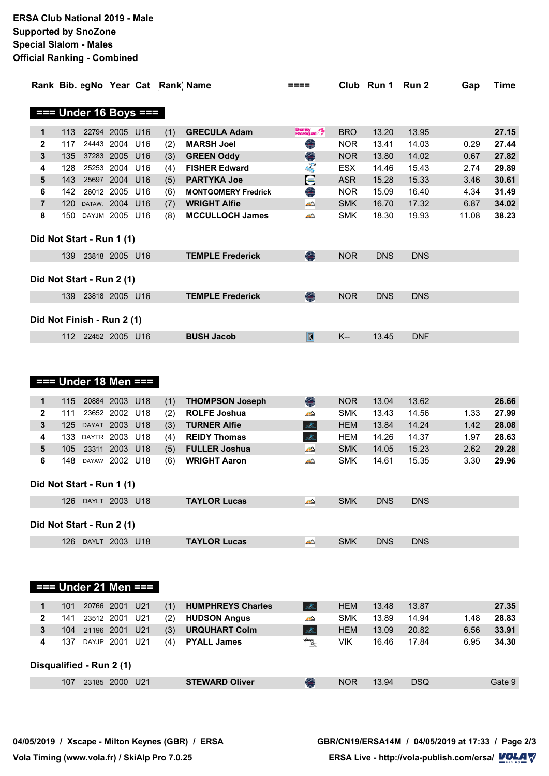|                |     |                                          |                |                 | Rank Bib. agNo Year Cat Rank Name |                            | ====                               |            | Club Run 1 Run 2 |            | Gap   | <b>Time</b> |
|----------------|-----|------------------------------------------|----------------|-----------------|-----------------------------------|----------------------------|------------------------------------|------------|------------------|------------|-------|-------------|
|                |     | $==$ Under 16 Boys $==$                  |                |                 |                                   |                            |                                    |            |                  |            |       |             |
| 1              | 113 | 22794 2005                               |                | U16             | (1)                               | <b>GRECULA Adam</b>        | <b>Bromley</b><br><b>RaceSquad</b> | <b>BRO</b> | 13.20            | 13.95      |       | 27.15       |
| 2              | 117 | 24443 2004                               |                | U16             | (2)                               | <b>MARSH Joel</b>          | ۸                                  | <b>NOR</b> | 13.41            | 14.03      | 0.29  | 27.44       |
| 3              | 135 | 37283 2005                               |                | U16             | (3)                               | <b>GREEN Oddy</b>          | $\bigcirc$                         | <b>NOR</b> | 13.80            | 14.02      | 0.67  | 27.82       |
| 4              | 128 | 25253 2004                               |                | U16             | (4)                               | <b>FISHER Edward</b>       | 理解                                 | <b>ESX</b> | 14.46            | 15.43      | 2.74  | 29.89       |
| 5              | 143 | 25697 2004                               |                | U16             | (5)                               | <b>PARTYKA Joe</b>         | <b>See</b>                         | <b>ASR</b> | 15.28            | 15.33      | 3.46  | 30.61       |
| 6              | 142 | 26012 2005                               |                | U16             | (6)                               | <b>MONTGOMERY Fredrick</b> | O                                  | <b>NOR</b> | 15.09            | 16.40      | 4.34  | 31.49       |
| $\overline{7}$ | 120 | DATAW. 2004 U16                          |                |                 | (7)                               | <b>WRIGHT Alfie</b>        | Æ∆                                 | <b>SMK</b> | 16.70            | 17.32      | 6.87  | 34.02       |
| 8              |     | 150 DAYJM 2005 U16                       |                |                 | (8)                               | <b>MCCULLOCH James</b>     | ØÂ                                 | <b>SMK</b> | 18.30            | 19.93      | 11.08 | 38.23       |
|                |     | Did Not Start - Run 1 (1)                |                |                 |                                   |                            |                                    |            |                  |            |       |             |
|                |     | 139 23818 2005 U16                       |                |                 |                                   | <b>TEMPLE Frederick</b>    | O                                  | <b>NOR</b> | <b>DNS</b>       | <b>DNS</b> |       |             |
|                |     | Did Not Start - Run 2 (1)                |                |                 |                                   |                            |                                    |            |                  |            |       |             |
|                |     | 139 23818 2005 U16                       |                |                 |                                   | <b>TEMPLE Frederick</b>    | O                                  | <b>NOR</b> | <b>DNS</b>       | <b>DNS</b> |       |             |
|                |     | Did Not Finish - Run 2 (1)               |                |                 |                                   |                            |                                    |            |                  |            |       |             |
|                |     | 112 22452 2005 U16                       |                |                 |                                   | <b>BUSH Jacob</b>          | $\blacksquare$                     | K--        | 13.45            | <b>DNF</b> |       |             |
| 1              | 115 | $==$ Under 18 Men $==$<br>20884 2003 U18 |                |                 |                                   | <b>THOMPSON Joseph</b>     | O                                  | <b>NOR</b> | 13.04            | 13.62      |       | 26.66       |
| 2              | 111 |                                          | 23652 2002 U18 |                 | (1)                               | <b>ROLFE Joshua</b>        |                                    | <b>SMK</b> | 13.43            | 14.56      | 1.33  | 27.99       |
| 3              | 125 | DAYAT 2003 U18                           |                |                 | (2)<br>(3)                        | <b>TURNER Alfie</b>        | m<br>$\Delta_{\rm in}$             | <b>HEM</b> | 13.84            | 14.24      | 1.42  | 28.08       |
| 4              | 133 | DAYTR 2003                               |                | U18             | (4)                               | <b>REIDY Thomas</b>        | $\mathcal{A}_{\mathbb{R}}$         | HEM        | 14.26            | 14.37      | 1.97  | 28.63       |
| 5              | 105 | 23311 2003                               |                | U18             | (5)                               | <b>FULLER Joshua</b>       | øΔ                                 | <b>SMK</b> | 14.05            | 15.23      | 2.62  | 29.28       |
| 6              | 148 | DAYAW 2002 U18                           |                |                 | (6)                               | <b>WRIGHT Aaron</b>        | МA                                 | <b>SMK</b> | 14.61            | 15.35      | 3.30  | 29.96       |
|                |     | Did Not Start - Run 1 (1)                |                |                 |                                   |                            |                                    |            |                  |            |       |             |
|                |     | 126 DAYLT 2003 U18                       |                |                 |                                   | <b>TAYLOR Lucas</b>        | ØA                                 | <b>SMK</b> | <b>DNS</b>       | <b>DNS</b> |       |             |
|                |     | Did Not Start - Run 2 (1)                |                |                 |                                   |                            |                                    |            |                  |            |       |             |
|                |     | 126 DAYLT 2003 U18                       |                |                 |                                   | <b>TAYLOR Lucas</b>        | $\mathbb{Z}^{\triangle}$           | <b>SMK</b> | <b>DNS</b>       | <b>DNS</b> |       |             |
|                |     | $==$ Under 21 Men $==$                   |                |                 |                                   |                            |                                    |            |                  |            |       |             |
|                |     |                                          |                |                 |                                   |                            |                                    |            |                  |            |       |             |
| 1              | 101 | 20766 2001 U21                           |                |                 | (1)                               | <b>HUMPHREYS Charles</b>   | $\mathcal{A}_{\mathbb{R}_{+}}$     | <b>HEM</b> | 13.48            | 13.87      |       | 27.35       |
| 2              | 141 |                                          | 23512 2001     | U <sub>21</sub> | (2)                               | <b>HUDSON Angus</b>        | MA                                 | <b>SMK</b> | 13.89            | 14.94      | 1.48  | 28.83       |
| $\mathbf{3}$   | 104 | 21196 2001                               |                | U <sub>21</sub> | (3)                               | <b>URQUHART Colm</b>       | $\Delta_{\rm m}$                   | <b>HEM</b> | 13.09            | 20.82      | 6.56  | 33.91       |
| 4              | 137 | DAYJP 2001 U21                           |                |                 | (4)                               | <b>PYALL James</b>         | $\sqrt{ikings}$                    | <b>VIK</b> | 16.46            | 17.84      | 6.95  | 34.30       |
|                |     | Disqualified - Run 2 (1)                 |                |                 |                                   |                            |                                    |            |                  |            |       |             |
|                |     | 107 23185 2000 U21                       |                |                 |                                   | <b>STEWARD Oliver</b>      | $\bigcirc$                         | <b>NOR</b> | 13.94            | <b>DSQ</b> |       | Gate 9      |